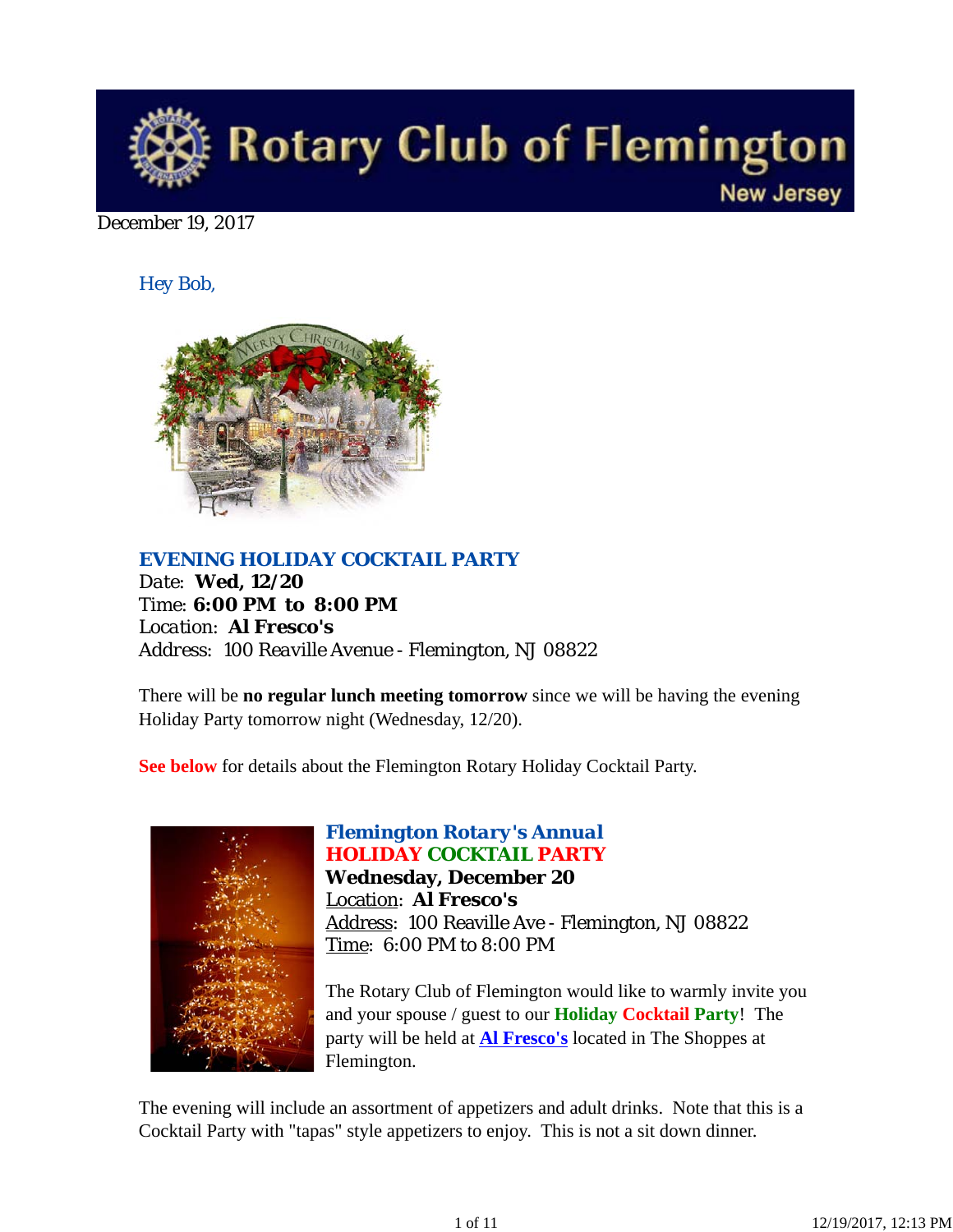

December 19, 2017

*Hey Bob,* 



*EVENING HOLIDAY COCKTAIL PARTY*

*Date: Wed, 12/20 Time: 6:00 PM to 8:00 PM Location: Al Fresco's Address: 100 Reaville Avenue - Flemington, NJ 08822*

There will be **no regular lunch meeting tomorrow** since we will be having the evening Holiday Party tomorrow night (Wednesday, 12/20).

**See below** for details about the Flemington Rotary Holiday Cocktail Party.



## *Flemington Rotary's Annual HOLIDAY COCKTAIL PARTY*

**Wednesday, December 20** Location: **Al Fresco's** Address: 100 Reaville Ave - Flemington, NJ 08822 Time: 6:00 PM to 8:00 PM

The Rotary Club of Flemington would like to warmly invite you and your spouse / guest to our **Holiday Cocktail Party**! The party will be held at **Al Fresco's** located in The Shoppes at Flemington.

The evening will include an assortment of appetizers and adult drinks. Note that this is a Cocktail Party with "tapas" style appetizers to enjoy. This is not a sit down dinner.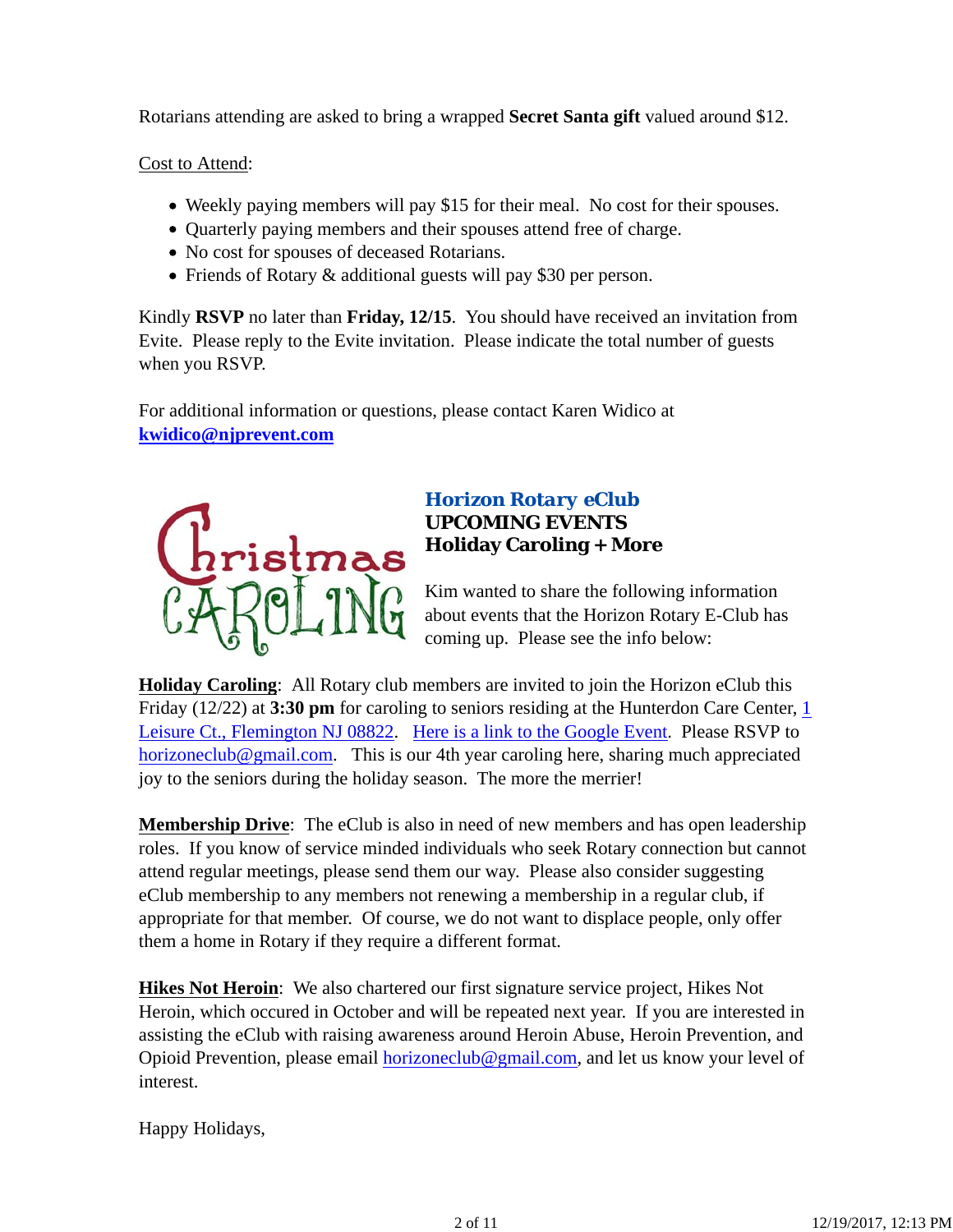Rotarians attending are asked to bring a wrapped **Secret Santa gift** valued around \$12.

Cost to Attend:

- Weekly paying members will pay \$15 for their meal. No cost for their spouses.
- Quarterly paying members and their spouses attend free of charge.
- No cost for spouses of deceased Rotarians.
- Friends of Rotary & additional guests will pay \$30 per person.

Kindly **RSVP** no later than **Friday, 12/15**. You should have received an invitation from Evite. Please reply to the Evite invitation. Please indicate the total number of guests when you RSVP.

For additional information or questions, please contact Karen Widico at **kwidico@njprevent.com**



## *Horizon Rotary eClub* **UPCOMING EVENTS Holiday Caroling + More**

Kim wanted to share the following information about events that the Horizon Rotary E-Club has coming up. Please see the info below:

**Holiday Caroling**: All Rotary club members are invited to join the Horizon eClub this Friday (12/22) at **3:30 pm** for caroling to seniors residing at the Hunterdon Care Center, 1 Leisure Ct., Flemington NJ 08822. Here is a link to the Google Event. Please RSVP to horizoneclub@gmail.com. This is our 4th year caroling here, sharing much appreciated joy to the seniors during the holiday season. The more the merrier!

**Membership Drive**: The eClub is also in need of new members and has open leadership roles. If you know of service minded individuals who seek Rotary connection but cannot attend regular meetings, please send them our way. Please also consider suggesting eClub membership to any members not renewing a membership in a regular club, if appropriate for that member. Of course, we do not want to displace people, only offer them a home in Rotary if they require a different format.

**Hikes Not Heroin**: We also chartered our first signature service project, Hikes Not Heroin, which occured in October and will be repeated next year. If you are interested in assisting the eClub with raising awareness around Heroin Abuse, Heroin Prevention, and Opioid Prevention, please email horizoneclub@gmail.com, and let us know your level of interest.

Happy Holidays,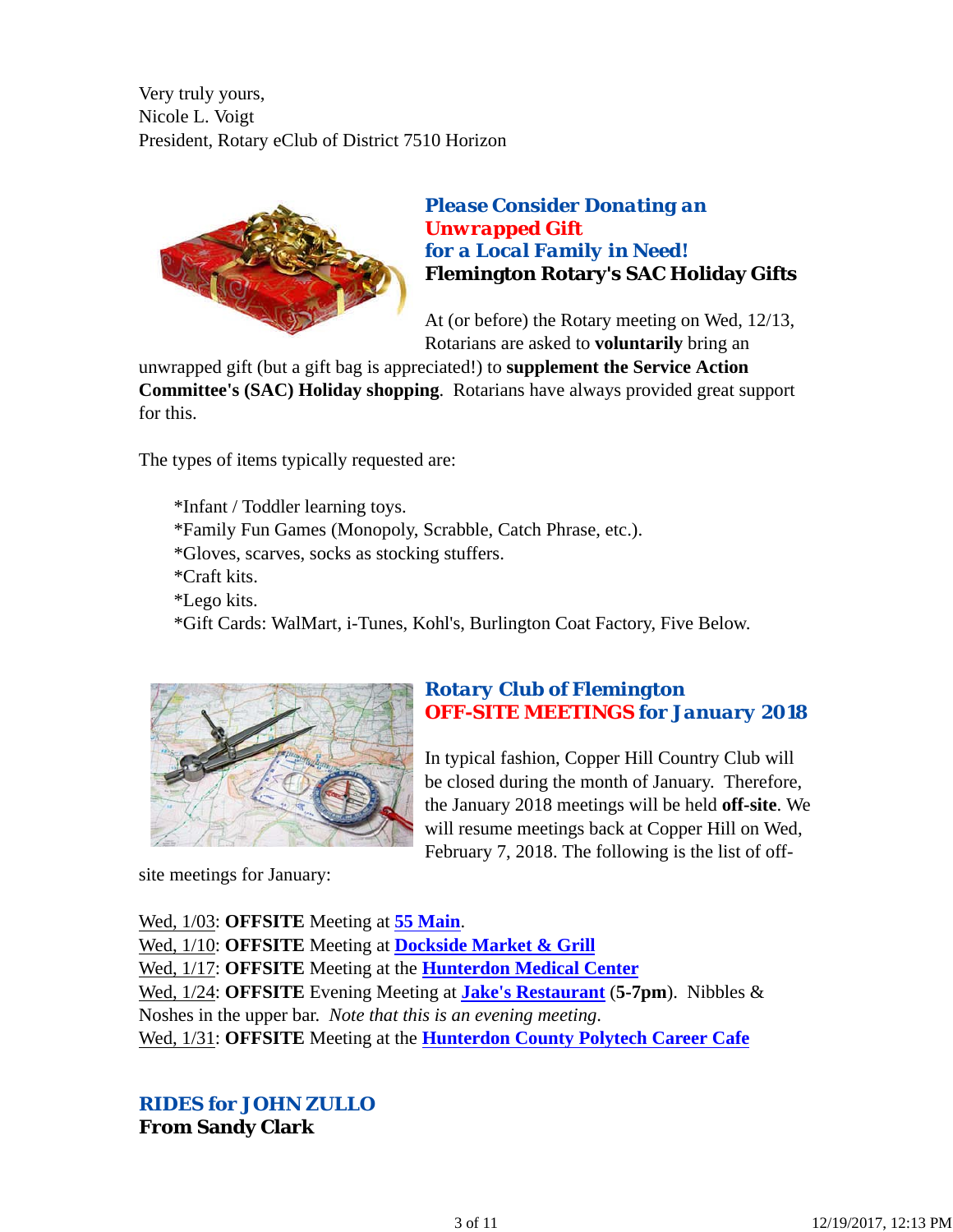Very truly yours, Nicole L. Voigt President, Rotary eClub of District 7510 Horizon



*Please Consider Donating an Unwrapped Gift for a Local Family in Need!* **Flemington Rotary's SAC Holiday Gifts**

At (or before) the Rotary meeting on Wed, 12/13, Rotarians are asked to **voluntarily** bring an

unwrapped gift (but a gift bag is appreciated!) to **supplement the Service Action Committee's (SAC) Holiday shopping**. Rotarians have always provided great support for this.

The types of items typically requested are:

\*Infant / Toddler learning toys. \*Family Fun Games (Monopoly, Scrabble, Catch Phrase, etc.). \*Gloves, scarves, socks as stocking stuffers. \*Craft kits. \*Lego kits. \*Gift Cards: WalMart, i-Tunes, Kohl's, Burlington Coat Factory, Five Below.



## *Rotary Club of Flemington OFF-SITE MEETINGS for January 2018*

In typical fashion, Copper Hill Country Club will be closed during the month of January. Therefore, the January 2018 meetings will be held **off-site**. We will resume meetings back at Copper Hill on Wed, February 7, 2018. The following is the list of off-

site meetings for January:

Wed, 1/03: **OFFSITE** Meeting at **55 Main**. Wed, 1/10: **OFFSITE** Meeting at **Dockside Market & Grill**

Wed, 1/17: **OFFSITE** Meeting at the **Hunterdon Medical Center** Wed, 1/24: **OFFSITE** Evening Meeting at **Jake's Restaurant** (**5-7pm**). Nibbles & Noshes in the upper bar. *Note that this is an evening meeting*. Wed, 1/31: **OFFSITE** Meeting at the **Hunterdon County Polytech Career Cafe**

*RIDES for JOHN ZULLO* **From Sandy Clark**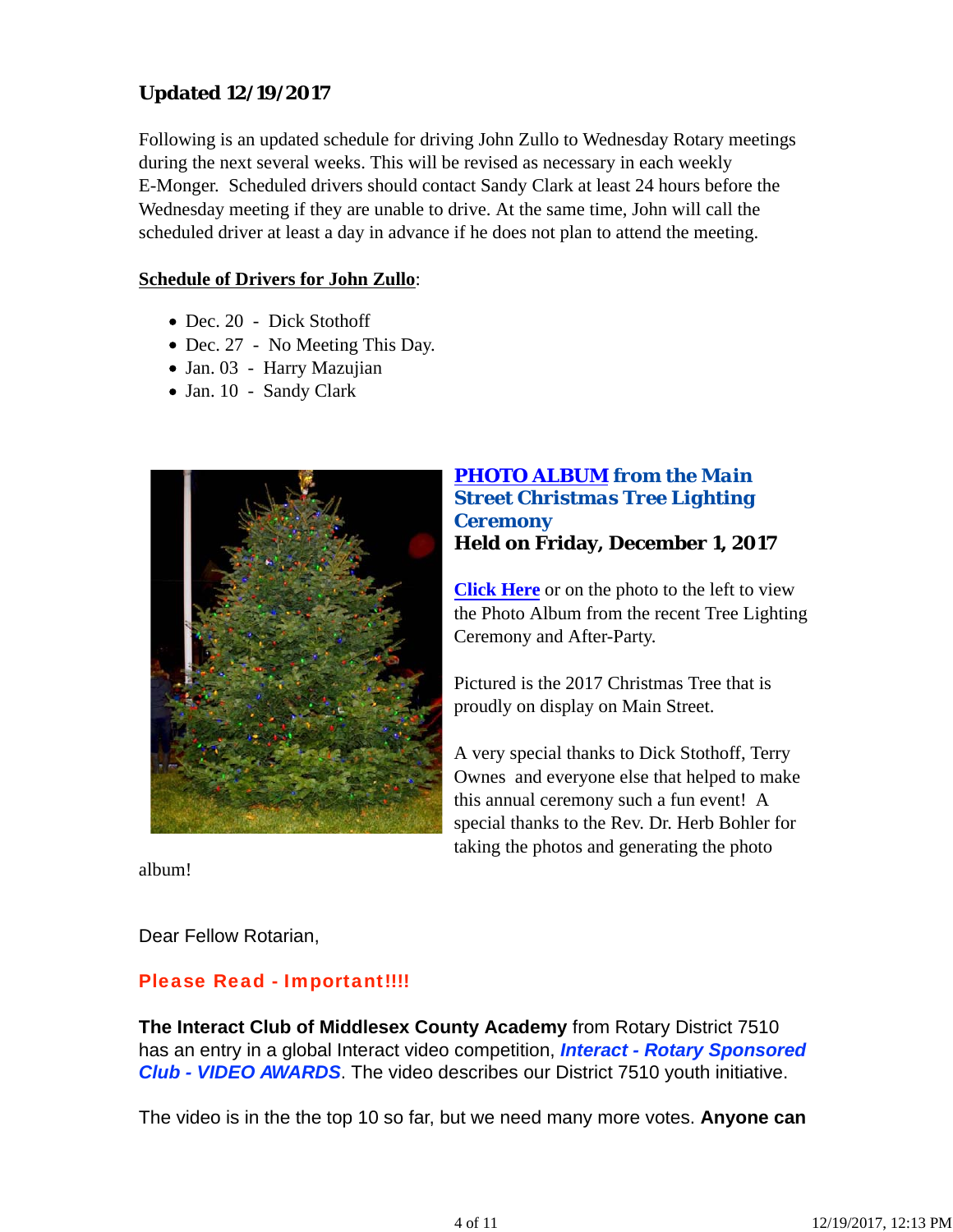## **Updated 12/19/2017**

Following is an updated schedule for driving John Zullo to Wednesday Rotary meetings during the next several weeks. This will be revised as necessary in each weekly E-Monger. Scheduled drivers should contact Sandy Clark at least 24 hours before the Wednesday meeting if they are unable to drive. At the same time, John will call the scheduled driver at least a day in advance if he does not plan to attend the meeting.

#### **Schedule of Drivers for John Zullo**:

- Dec. 20 Dick Stothoff
- Dec. 27 No Meeting This Day.
- Jan. 03 Harry Mazujian
- Jan. 10 Sandy Clark



## *PHOTO ALBUM from the Main Street Christmas Tree Lighting Ceremony* **Held on Friday, December 1, 2017**

**Click Here** or on the photo to the left to view the Photo Album from the recent Tree Lighting Ceremony and After-Party.

Pictured is the 2017 Christmas Tree that is proudly on display on Main Street.

A very special thanks to Dick Stothoff, Terry Ownes and everyone else that helped to make this annual ceremony such a fun event! A special thanks to the Rev. Dr. Herb Bohler for taking the photos and generating the photo

album!

Dear Fellow Rotarian,

## Please Read - Important!!!!

**The Interact Club of Middlesex County Academy** from Rotary District 7510 has an entry in a global Interact video competition, *Interact - Rotary Sponsored Club - VIDEO AWARDS*. The video describes our District 7510 youth initiative.

The video is in the the top 10 so far, but we need many more votes. **Anyone can**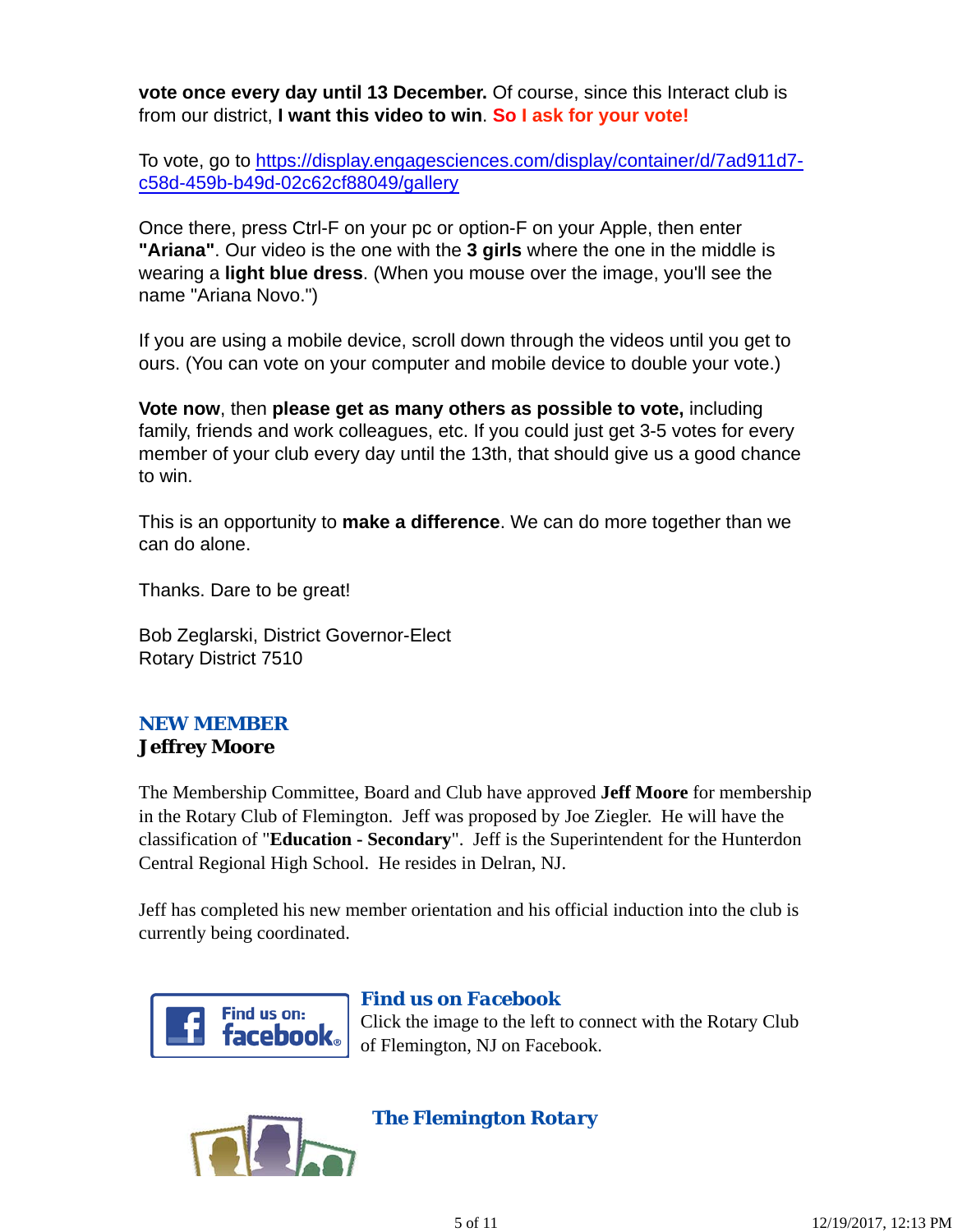**vote once every day until 13 December.** Of course, since this Interact club is from our district, **I want this video to win**. **So I ask for your vote!**

To vote, go to https://display.engagesciences.com/display/container/d/7ad911d7 c58d-459b-b49d-02c62cf88049/gallery

Once there, press Ctrl-F on your pc or option-F on your Apple, then enter **"Ariana"**. Our video is the one with the **3 girls** where the one in the middle is wearing a **light blue dress**. (When you mouse over the image, you'll see the name "Ariana Novo.")

If you are using a mobile device, scroll down through the videos until you get to ours. (You can vote on your computer and mobile device to double your vote.)

**Vote now**, then **please get as many others as possible to vote,** including family, friends and work colleagues, etc. If you could just get 3-5 votes for every member of your club every day until the 13th, that should give us a good chance to win.

This is an opportunity to **make a difference**. We can do more together than we can do alone.

Thanks. Dare to be great!

Bob Zeglarski, District Governor-Elect Rotary District 7510

### *NEW MEMBER* **Jeffrey Moore**

The Membership Committee, Board and Club have approved **Jeff Moore** for membership in the Rotary Club of Flemington. Jeff was proposed by Joe Ziegler. He will have the classification of "**Education - Secondary**". Jeff is the Superintendent for the Hunterdon Central Regional High School. He resides in Delran, NJ.

Jeff has completed his new member orientation and his official induction into the club is currently being coordinated.



# *Find us on Facebook*

Click the image to the left to connect with the Rotary Club of Flemington, NJ on Facebook.



*The Flemington Rotary*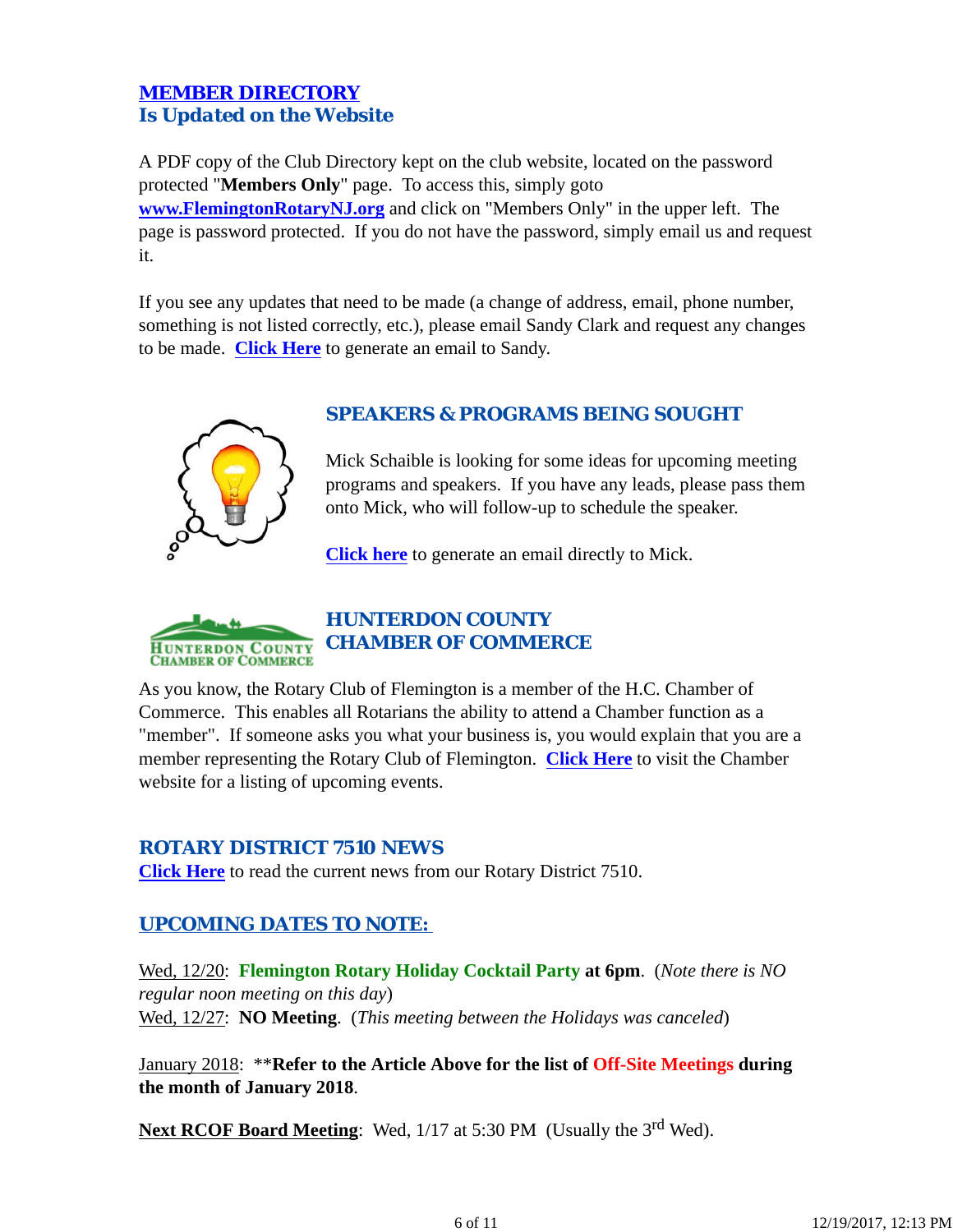## *MEMBER DIRECTORY Is Updated on the Website*

A PDF copy of the Club Directory kept on the club website, located on the password protected "**Members Only**" page. To access this, simply goto **www.FlemingtonRotaryNJ.org** and click on "Members Only" in the upper left. The page is password protected. If you do not have the password, simply email us and request it.

If you see any updates that need to be made (a change of address, email, phone number, something is not listed correctly, etc.), please email Sandy Clark and request any changes to be made. **Click Here** to generate an email to Sandy.



## *SPEAKERS & PROGRAMS BEING SOUGHT*

Mick Schaible is looking for some ideas for upcoming meeting programs and speakers. If you have any leads, please pass them onto Mick, who will follow-up to schedule the speaker.

**Click here** to generate an email directly to Mick.



## *HUNTERDON COUNTY CHAMBER OF COMMERCE*

As you know, the Rotary Club of Flemington is a member of the H.C. Chamber of Commerce. This enables all Rotarians the ability to attend a Chamber function as a "member". If someone asks you what your business is, you would explain that you are a member representing the Rotary Club of Flemington. **Click Here** to visit the Chamber website for a listing of upcoming events.

#### *ROTARY DISTRICT 7510 NEWS*

**Click Here** to read the current news from our Rotary District 7510.

## *UPCOMING DATES TO NOTE:*

Wed, 12/20: **Flemington Rotary Holiday Cocktail Party at 6pm**. (*Note there is NO regular noon meeting on this day*) Wed, 12/27: **NO Meeting**. (*This meeting between the Holidays was canceled*)

January 2018: \*\***Refer to the Article Above for the list of Off-Site Meetings during the month of January 2018**.

**Next RCOF Board Meeting:** Wed, 1/17 at 5:30 PM (Usually the 3<sup>rd</sup> Wed).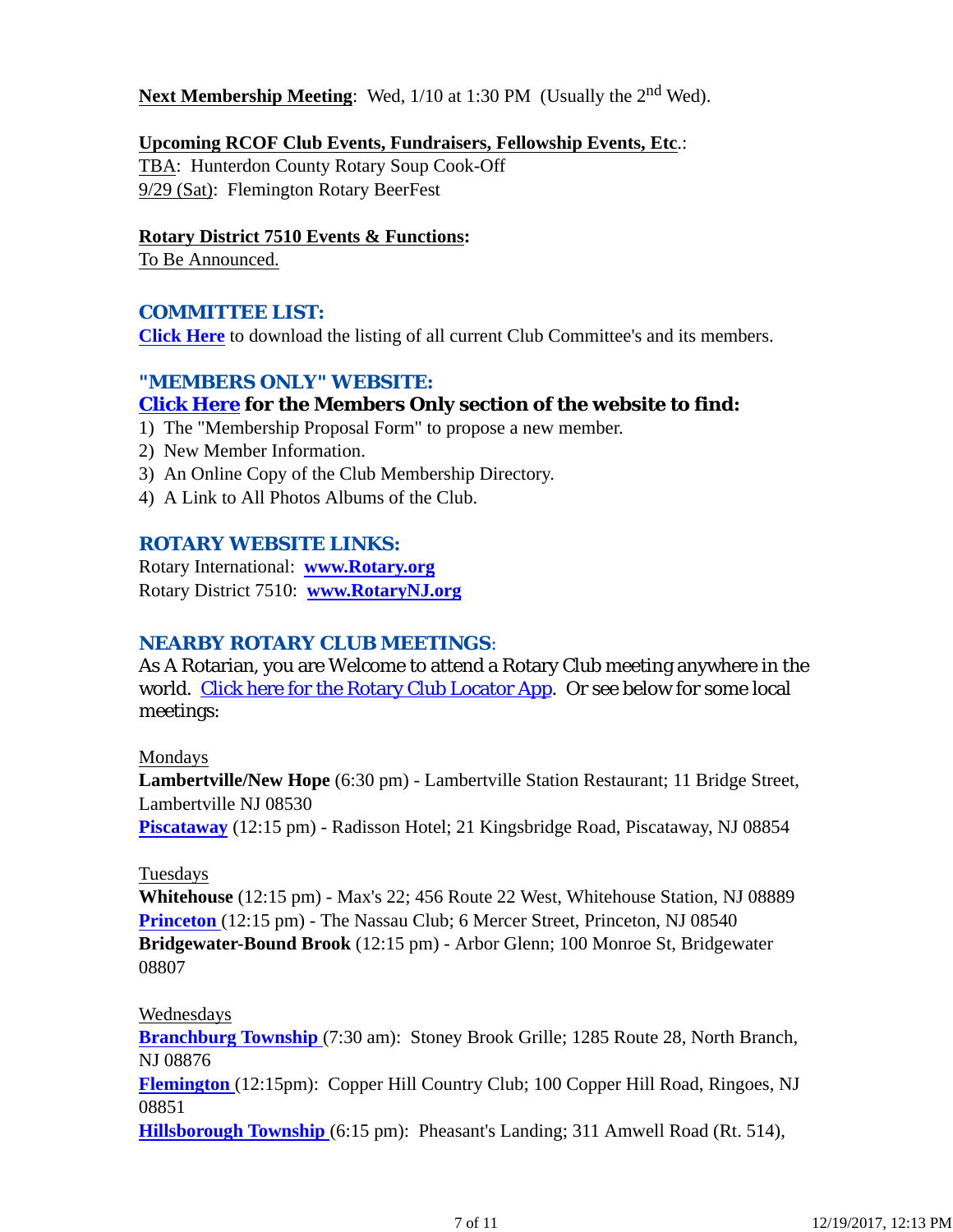### **Next Membership Meeting**: Wed, 1/10 at 1:30 PM (Usually the 2<sup>nd</sup> Wed).

#### **Upcoming RCOF Club Events, Fundraisers, Fellowship Events, Etc**.:

TBA: Hunterdon County Rotary Soup Cook-Off 9/29 (Sat): Flemington Rotary BeerFest

#### **Rotary District 7510 Events & Functions:**

To Be Announced.

## *COMMITTEE LIST:*

**Click Here** to download the listing of all current Club Committee's and its members.

## *"MEMBERS ONLY" WEBSITE:*

## **Click Here for the Members Only section of the website to find:**

- 1) The "Membership Proposal Form" to propose a new member.
- 2) New Member Information.
- 3) An Online Copy of the Club Membership Directory.
- 4) A Link to All Photos Albums of the Club.

### *ROTARY WEBSITE LINKS:*

Rotary International: **www.Rotary.org** Rotary District 7510: **www.RotaryNJ.org**

### *NEARBY ROTARY CLUB MEETINGS:*

As A Rotarian, you are Welcome to attend a Rotary Club meeting anywhere in the world. Click here for the Rotary Club Locator App. Or see below for some local meetings:

#### Mondays

**Lambertville/New Hope** (6:30 pm) - Lambertville Station Restaurant; 11 Bridge Street, Lambertville NJ 08530

**Piscataway** (12:15 pm) - Radisson Hotel; 21 Kingsbridge Road, Piscataway, NJ 08854

#### Tuesdays

**Whitehouse** (12:15 pm) - Max's 22; 456 Route 22 West, Whitehouse Station, NJ 08889 **Princeton** (12:15 pm) - The Nassau Club; 6 Mercer Street, Princeton, NJ 08540 **Bridgewater-Bound Brook** (12:15 pm) - Arbor Glenn; 100 Monroe St, Bridgewater 08807

#### Wednesdays

**Branchburg Township** (7:30 am): Stoney Brook Grille; 1285 Route 28, North Branch, NJ 08876

**Flemington** (12:15pm): Copper Hill Country Club; 100 Copper Hill Road, Ringoes, NJ 08851

**Hillsborough Township** (6:15 pm): Pheasant's Landing; 311 Amwell Road (Rt. 514),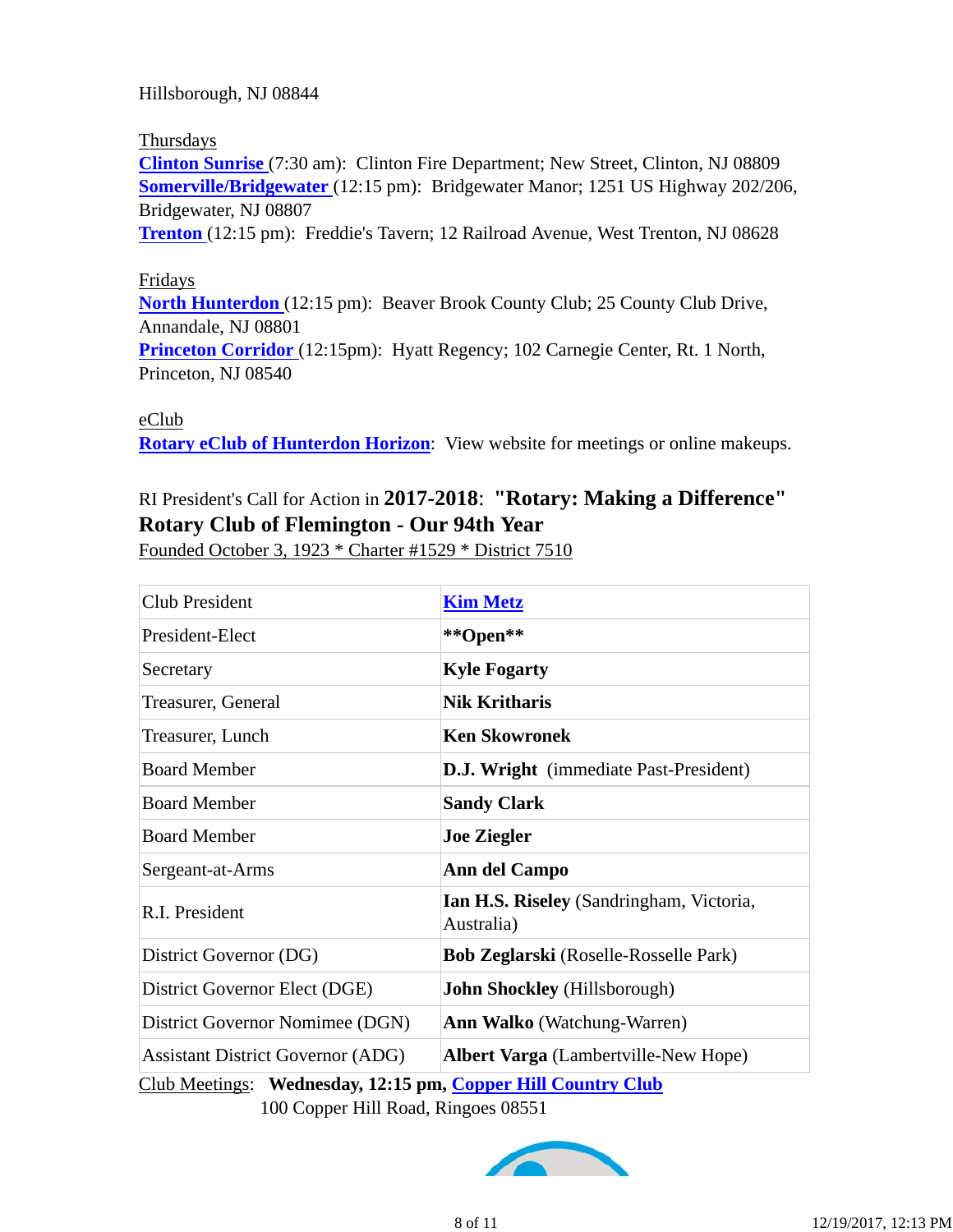Hillsborough, NJ 08844

#### Thursdays

**Clinton Sunrise** (7:30 am): Clinton Fire Department; New Street, Clinton, NJ 08809 **Somerville/Bridgewater** (12:15 pm): Bridgewater Manor; 1251 US Highway 202/206, Bridgewater, NJ 08807

**Trenton** (12:15 pm): Freddie's Tavern; 12 Railroad Avenue, West Trenton, NJ 08628

#### Fridays

**North Hunterdon** (12:15 pm): Beaver Brook County Club; 25 County Club Drive, Annandale, NJ 08801

**Princeton Corridor** (12:15pm): Hyatt Regency; 102 Carnegie Center, Rt. 1 North, Princeton, NJ 08540

eClub

**Rotary eClub of Hunterdon Horizon**: View website for meetings or online makeups.

# RI President's Call for Action in **2017-2018**: **"Rotary: Making a Difference" Rotary Club of Flemington - Our 94th Year**

Founded October 3, 1923 \* Charter #1529 \* District 7510

| <b>Club President</b>                    | <b>Kim Metz</b>                                        |  |  |
|------------------------------------------|--------------------------------------------------------|--|--|
| President-Elect                          | **Open**                                               |  |  |
| Secretary                                | <b>Kyle Fogarty</b>                                    |  |  |
| Treasurer, General                       | <b>Nik Kritharis</b>                                   |  |  |
| Treasurer, Lunch                         | <b>Ken Skowronek</b>                                   |  |  |
| <b>Board Member</b>                      | <b>D.J. Wright</b> (immediate Past-President)          |  |  |
| <b>Board Member</b>                      | <b>Sandy Clark</b>                                     |  |  |
| <b>Board Member</b>                      | <b>Joe Ziegler</b>                                     |  |  |
| Sergeant-at-Arms                         | <b>Ann del Campo</b>                                   |  |  |
| R.I. President                           | Ian H.S. Riseley (Sandringham, Victoria,<br>Australia) |  |  |
| District Governor (DG)                   | <b>Bob Zeglarski</b> (Roselle-Rosselle Park)           |  |  |
| District Governor Elect (DGE)            | <b>John Shockley</b> (Hillsborough)                    |  |  |
| District Governor Nomimee (DGN)          | <b>Ann Walko</b> (Watchung-Warren)                     |  |  |
| <b>Assistant District Governor (ADG)</b> | <b>Albert Varga</b> (Lambertville-New Hope)            |  |  |

Club Meetings: **Wednesday, 12:15 pm, Copper Hill Country Club** 100 Copper Hill Road, Ringoes 08551

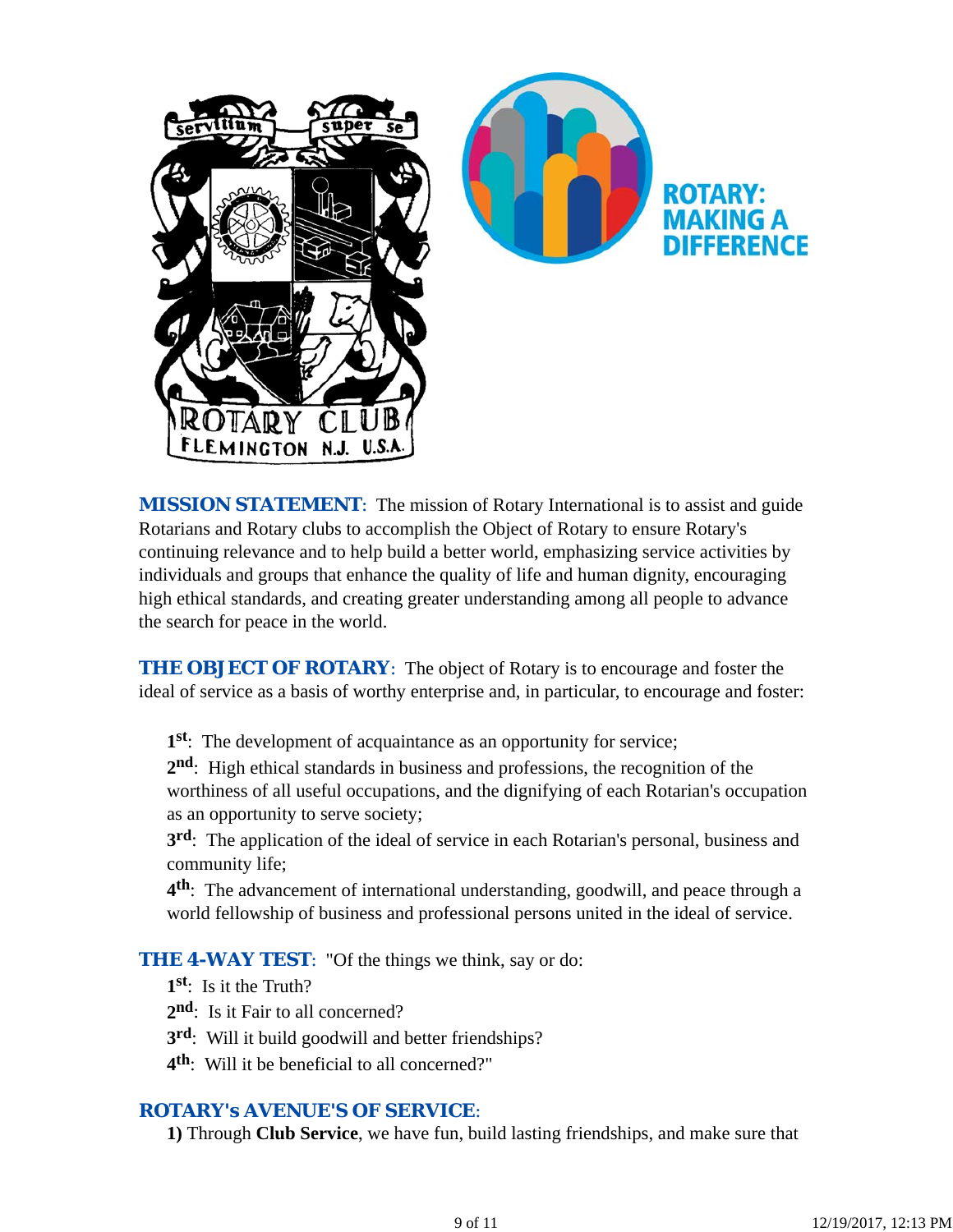

*MISSION STATEMENT*: The mission of Rotary International is to assist and guide Rotarians and Rotary clubs to accomplish the Object of Rotary to ensure Rotary's continuing relevance and to help build a better world, emphasizing service activities by individuals and groups that enhance the quality of life and human dignity, encouraging high ethical standards, and creating greater understanding among all people to advance the search for peace in the world.

**THE OBJECT OF ROTARY:** The object of Rotary is to encourage and foster the ideal of service as a basis of worthy enterprise and, in particular, to encourage and foster:

**1st**: The development of acquaintance as an opportunity for service;

**2nd**: High ethical standards in business and professions, the recognition of the worthiness of all useful occupations, and the dignifying of each Rotarian's occupation as an opportunity to serve society;

**3rd**: The application of the ideal of service in each Rotarian's personal, business and community life;

**4th**: The advancement of international understanding, goodwill, and peace through a world fellowship of business and professional persons united in the ideal of service.

**THE 4-WAY TEST:** "Of the things we think, say or do:

**1st**: Is it the Truth?

2<sup>nd</sup>: Is it Fair to all concerned?

- **3rd**: Will it build goodwill and better friendships?
- **4th**: Will it be beneficial to all concerned?"

### *ROTARY's AVENUE'S OF SERVICE*:

**1)** Through **Club Service**, we have fun, build lasting friendships, and make sure that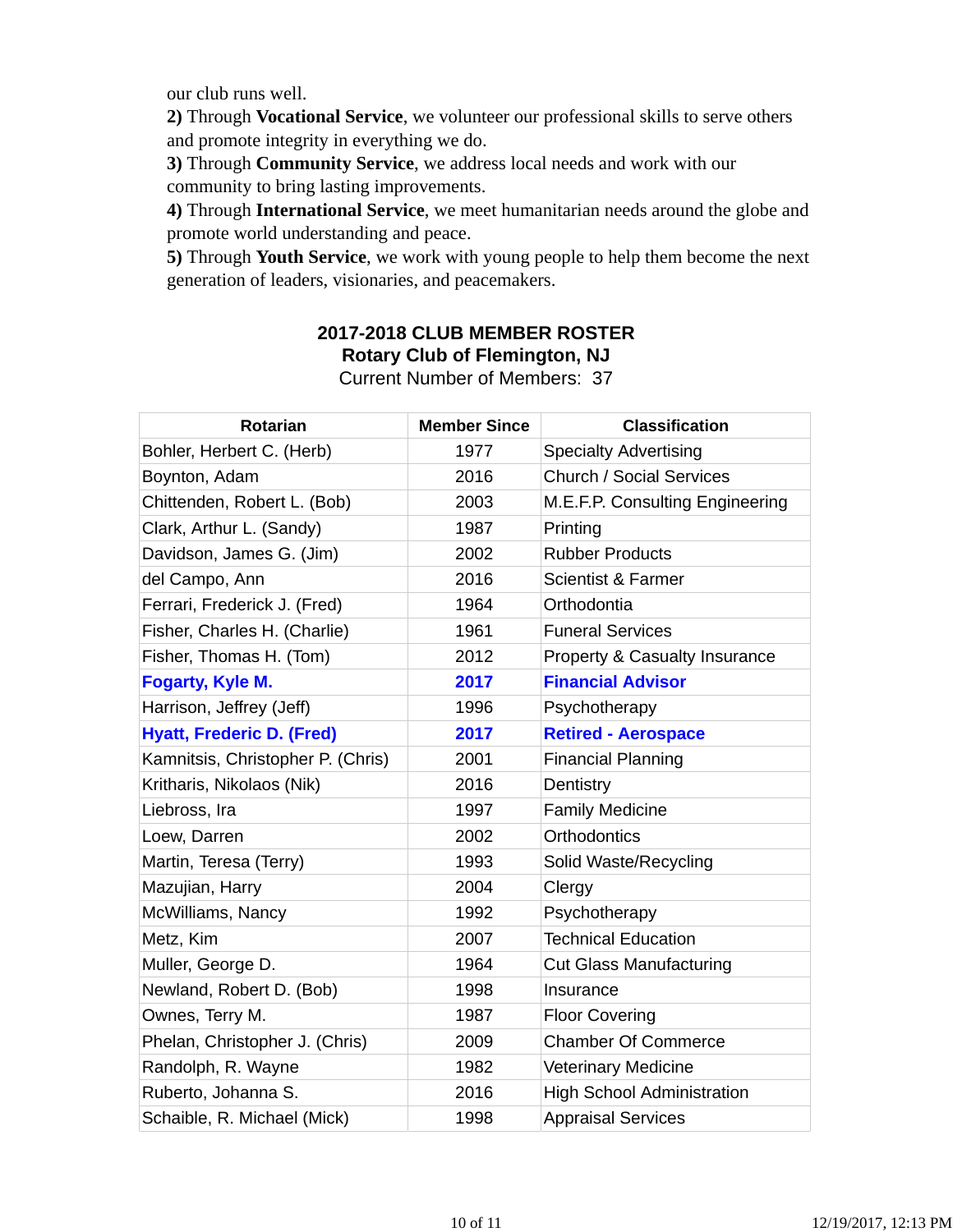our club runs well.

**2)** Through **Vocational Service**, we volunteer our professional skills to serve others and promote integrity in everything we do.

**3)** Through **Community Service**, we address local needs and work with our community to bring lasting improvements.

**4)** Through **International Service**, we meet humanitarian needs around the globe and promote world understanding and peace.

**5)** Through **Youth Service**, we work with young people to help them become the next generation of leaders, visionaries, and peacemakers.

## **2017-2018 CLUB MEMBER ROSTER Rotary Club of Flemington, NJ**

|  |  |  | <b>Current Number of Members: 37</b> |  |
|--|--|--|--------------------------------------|--|
|--|--|--|--------------------------------------|--|

| <b>Rotarian</b>                   | <b>Member Since</b> | <b>Classification</b>                    |
|-----------------------------------|---------------------|------------------------------------------|
| Bohler, Herbert C. (Herb)         | 1977                | <b>Specialty Advertising</b>             |
| Boynton, Adam                     | 2016                | <b>Church / Social Services</b>          |
| Chittenden, Robert L. (Bob)       | 2003                | M.E.F.P. Consulting Engineering          |
| Clark, Arthur L. (Sandy)          | 1987                | Printing                                 |
| Davidson, James G. (Jim)          | 2002                | <b>Rubber Products</b>                   |
| del Campo, Ann                    | 2016                | <b>Scientist &amp; Farmer</b>            |
| Ferrari, Frederick J. (Fred)      | 1964                | Orthodontia                              |
| Fisher, Charles H. (Charlie)      | 1961                | <b>Funeral Services</b>                  |
| Fisher, Thomas H. (Tom)           | 2012                | <b>Property &amp; Casualty Insurance</b> |
| Fogarty, Kyle M.                  | 2017                | <b>Financial Advisor</b>                 |
| Harrison, Jeffrey (Jeff)          | 1996                | Psychotherapy                            |
| <b>Hyatt, Frederic D. (Fred)</b>  | 2017                | <b>Retired - Aerospace</b>               |
| Kamnitsis, Christopher P. (Chris) | 2001                | <b>Financial Planning</b>                |
| Kritharis, Nikolaos (Nik)         | 2016                | Dentistry                                |
| Liebross, Ira                     | 1997                | <b>Family Medicine</b>                   |
| Loew, Darren                      | 2002                | <b>Orthodontics</b>                      |
| Martin, Teresa (Terry)            | 1993                | Solid Waste/Recycling                    |
| Mazujian, Harry                   | 2004                | Clergy                                   |
| McWilliams, Nancy                 | 1992                | Psychotherapy                            |
| Metz, Kim                         | 2007                | <b>Technical Education</b>               |
| Muller, George D.                 | 1964                | <b>Cut Glass Manufacturing</b>           |
| Newland, Robert D. (Bob)          | 1998                | Insurance                                |
| Ownes, Terry M.                   | 1987                | <b>Floor Covering</b>                    |
| Phelan, Christopher J. (Chris)    | 2009                | <b>Chamber Of Commerce</b>               |
| Randolph, R. Wayne                | 1982                | <b>Veterinary Medicine</b>               |
| Ruberto, Johanna S.               | 2016                | <b>High School Administration</b>        |
| Schaible, R. Michael (Mick)       | 1998                | <b>Appraisal Services</b>                |